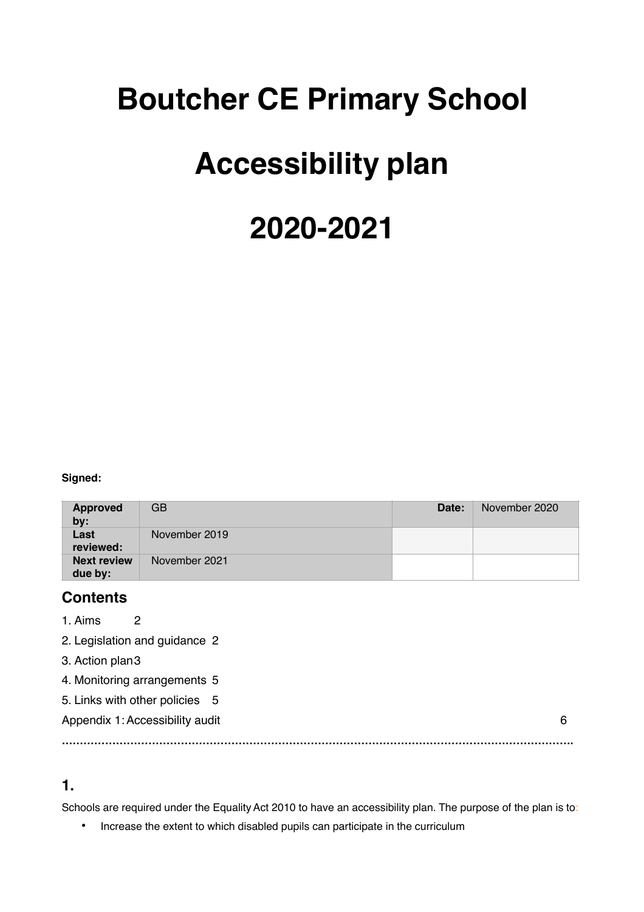## **Boutcher CE Primary School**

## **Accessibility plan**

# **2020-2021**

**Signed:**

| Approved<br>by:               | GB            | Date: | November 2020 |
|-------------------------------|---------------|-------|---------------|
| Last<br>reviewed:             | November 2019 |       |               |
| <b>Next review</b><br>due by: | November 2021 |       |               |

#### **Contents**

1. Aims 2

2. Legislation and guidance 2

3. Action plan3

4. Monitoring arrangements 5

5. Links with other policies 5

Appendix 1: Accessibility audit 6 and 1.5 and 1.5 and 1.6 and 1.6 and 1.6 and 1.6 and 1.6 and 1.6 and 1.6 and 1.6 and 1.6 and 1.6 and 1.6 and 1.6 and 1.6 and 1.6 and 1.6 and 1.6 and 1.6 and 1.6 and 1.6 and 1.6 and 1.6 and

#### **1.**

Schools are required under the Equality Act 2010 to have an accessibility plan. The purpose of the plan is to:

**…………………………………………………………………………………………………………………………….**

• Increase the extent to which disabled pupils can participate in the curriculum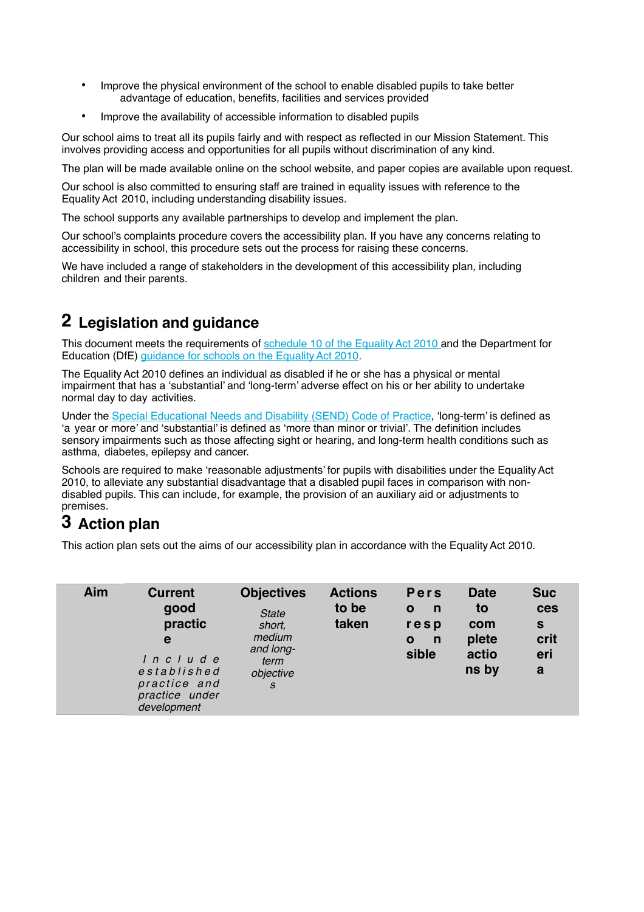- Improve the physical environment of the school to enable disabled pupils to take better advantage of education, benefits, facilities and services provided
- Improve the availability of accessible information to disabled pupils

Our school aims to treat all its pupils fairly and with respect as reflected in our Mission Statement. This involves providing access and opportunities for all pupils without discrimination of any kind.

The plan will be made available online on the school website, and paper copies are available upon request.

Our school is also committed to ensuring staff are trained in equality issues with reference to the EqualityAct 2010, including understanding disability issues.

The school supports any available partnerships to develop and implement the plan.

Our school's complaints procedure covers the accessibility plan. If you have any concerns relating to accessibility in school, this procedure sets out the process for raising these concerns.

We have included a range of stakeholders in the development of this accessibility plan, including children and their parents.

### **2 Legislation and guidance**

This document meets the requirements of schedule 10 of the Equality Act 2010 and the Department for Education (DfE) guidance for schools on the Equality Act 2010.

The EqualityAct 2010 defines an individual as disabled if he or she has a physical or mental impairment that has a 'substantial' and 'long-term' adverse effect on his or her ability to undertake normal day to day activities.

Under the Special Educational Needs and Disability (SEND) Code of Practice, 'long-term' is defined as 'a year or more' and 'substantial' is defined as 'more than minor or trivial'. The definition includes sensory impairments such as those affecting sight or hearing, and long-term health conditions such as asthma, diabetes, epilepsy and cancer.

Schools are required to make 'reasonable adjustments' for pupils with disabilities under the Equality Act 2010, to alleviate any substantial disadvantage that a disabled pupil faces in comparison with nondisabled pupils. This can include, for example, the provision of an auxiliary aid or adjustments to premises.

## **3 Action plan**

This action plan sets out the aims of our accessibility plan in accordance with the EqualityAct 2010.

| Aim | <b>Current</b><br>good<br>practic<br>e<br>Include<br>established<br>practice and<br>practice under<br>development | <b>Objectives</b><br><b>State</b><br>short,<br>medium<br>and long-<br>term<br>objective<br><sub>S</sub> | <b>Actions</b><br>to be<br>taken | <b>Pers</b><br>n<br>$\mathbf{o}$<br>resp<br>$\mathbf n$<br>$\mathbf{o}$<br>sible | <b>Date</b><br>to<br>com<br>plete<br>actio<br>ns by | <b>Suc</b><br>ces<br>$\mathbf{s}$<br>crit<br>eri<br>$\mathbf a$ |
|-----|-------------------------------------------------------------------------------------------------------------------|---------------------------------------------------------------------------------------------------------|----------------------------------|----------------------------------------------------------------------------------|-----------------------------------------------------|-----------------------------------------------------------------|
|-----|-------------------------------------------------------------------------------------------------------------------|---------------------------------------------------------------------------------------------------------|----------------------------------|----------------------------------------------------------------------------------|-----------------------------------------------------|-----------------------------------------------------------------|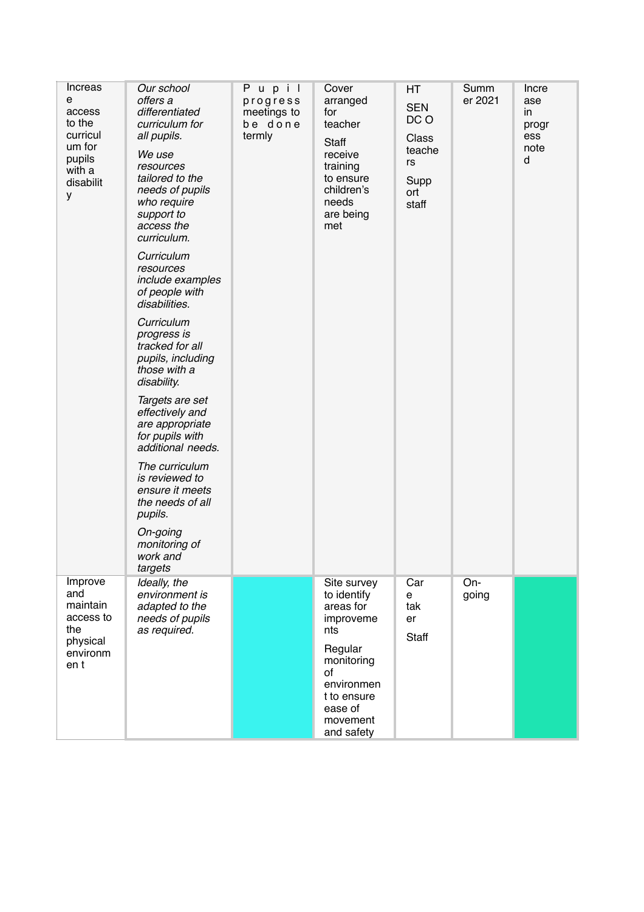| Increas<br>е<br>access<br>to the<br>curricul<br>um for<br>pupils<br>with a<br>disabilit<br>у | Our school<br>offers a<br>differentiated<br>curriculum for<br>all pupils.<br>We use<br>resources<br>tailored to the<br>needs of pupils<br>who require<br>support to<br>access the<br>curriculum.<br>Curriculum<br>resources<br>include examples<br>of people with<br>disabilities.<br>Curriculum<br>progress is<br>tracked for all<br>pupils, including<br>those with a<br>disability.<br>Targets are set<br>effectively and<br>are appropriate<br>for pupils with<br>additional needs.<br>The curriculum<br>is reviewed to<br>ensure it meets<br>the needs of all<br>pupils.<br>On-going<br>monitoring of<br>work and<br>targets | Pupil<br>progress<br>meetings to<br>be done<br>termly | Cover<br>arranged<br>for<br>teacher<br><b>Staff</b><br>receive<br>training<br>to ensure<br>children's<br>needs<br>are being<br>met                           | HT<br><b>SEN</b><br>DC O<br>Class<br>teache<br>rs<br>Supp<br>ort<br>staff | Summ<br>er 2021 | Incre<br>ase<br>in<br>progr<br>ess<br>note<br>d |
|----------------------------------------------------------------------------------------------|-----------------------------------------------------------------------------------------------------------------------------------------------------------------------------------------------------------------------------------------------------------------------------------------------------------------------------------------------------------------------------------------------------------------------------------------------------------------------------------------------------------------------------------------------------------------------------------------------------------------------------------|-------------------------------------------------------|--------------------------------------------------------------------------------------------------------------------------------------------------------------|---------------------------------------------------------------------------|-----------------|-------------------------------------------------|
| Improve<br>and<br>maintain<br>access to<br>the<br>physical<br>environm<br>en t               | Ideally, the<br>environment is<br>adapted to the<br>needs of pupils<br>as required.                                                                                                                                                                                                                                                                                                                                                                                                                                                                                                                                               |                                                       | Site survey<br>to identify<br>areas for<br>improveme<br>nts<br>Regular<br>monitoring<br>of<br>environmen<br>t to ensure<br>ease of<br>movement<br>and safety | Car<br>е<br>tak<br>er<br>Staff                                            | On-<br>going    |                                                 |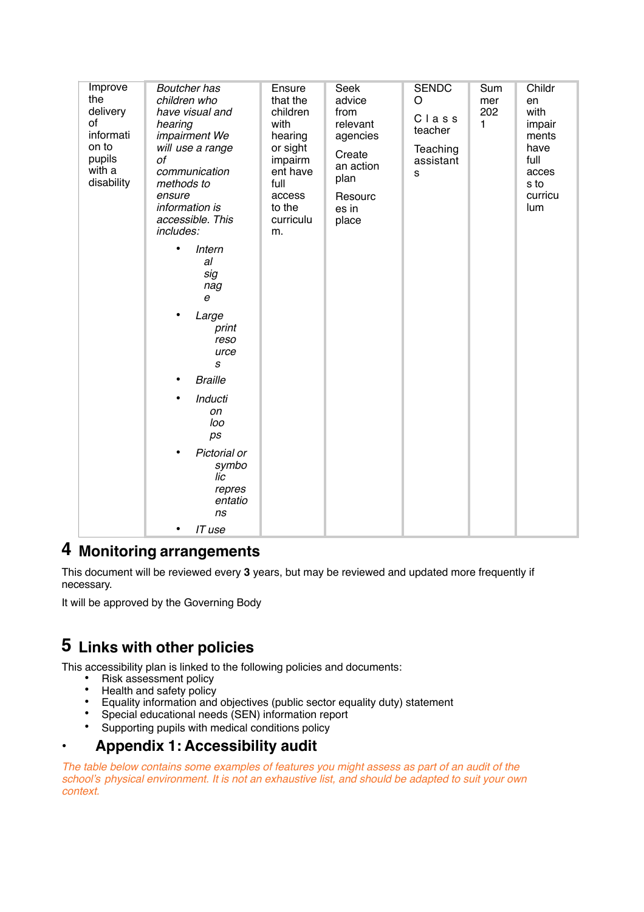| Improve<br>the<br>delivery<br>of<br>informati<br>on to<br>pupils<br>with a<br>disability | <b>Boutcher has</b><br>children who<br>have visual and<br>hearing<br>impairment We<br>will use a range<br>οf<br>communication<br>methods to<br>ensure<br>information is<br>accessible. This<br>includes:<br>Intern<br>٠<br>al<br>sig<br>nag<br>$\boldsymbol{e}$<br>$\bullet$<br>Large<br>print<br>reso<br>urce<br>s<br><b>Braille</b><br>Inducti<br>on<br>loo<br>ps<br>Pictorial or<br>symbo<br>lic<br>repres<br>entatio<br>ns<br>IT use<br>٠ | Ensure<br>that the<br>children<br>with<br>hearing<br>or sight<br>impairm<br>ent have<br>full<br>access<br>to the<br>curriculu<br>m. | Seek<br>advice<br>from<br>relevant<br>agencies<br>Create<br>an action<br>plan<br>Resourc<br>es in<br>place | <b>SENDC</b><br>O<br>Class<br>teacher<br>Teaching<br>assistant<br>s | Sum<br>mer<br>202<br>1 | Childr<br>en<br>with<br>impair<br>ments<br>have<br>full<br>acces<br>s to<br>curricu<br>lum |
|------------------------------------------------------------------------------------------|-----------------------------------------------------------------------------------------------------------------------------------------------------------------------------------------------------------------------------------------------------------------------------------------------------------------------------------------------------------------------------------------------------------------------------------------------|-------------------------------------------------------------------------------------------------------------------------------------|------------------------------------------------------------------------------------------------------------|---------------------------------------------------------------------|------------------------|--------------------------------------------------------------------------------------------|
|------------------------------------------------------------------------------------------|-----------------------------------------------------------------------------------------------------------------------------------------------------------------------------------------------------------------------------------------------------------------------------------------------------------------------------------------------------------------------------------------------------------------------------------------------|-------------------------------------------------------------------------------------------------------------------------------------|------------------------------------------------------------------------------------------------------------|---------------------------------------------------------------------|------------------------|--------------------------------------------------------------------------------------------|

### **4 Monitoring arrangements**

This document will be reviewed every **3** years, but may be reviewed and updated more frequently if necessary.

It will be approved by the Governing Body

## **5 Links with other policies**

This accessibility plan is linked to the following policies and documents:

- Risk assessment policy<br>• Health and safety policy
- Health and safety policy<br>• Equality information and
- Equality information and objectives (public sector equality duty) statement
- Special educational needs (SEN) information report
- Supporting pupils with medical conditions policy

#### • **Appendix 1: Accessibility audit**

*The table below contains some examples of features you might assess as part of an audit of the school's physical environment. It is not an exhaustive list, and should be adapted to suit your own context.*